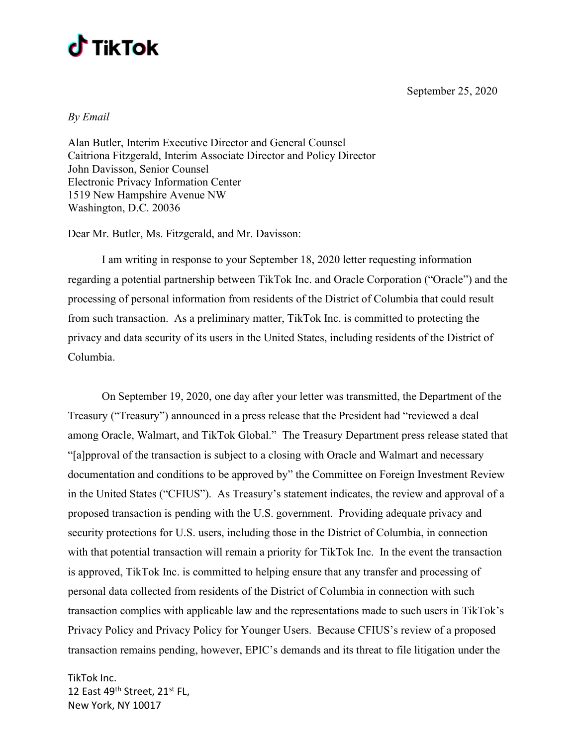



By Email

Alan Butler, Interim Executive Director and General Counsel Caitriona Fitzgerald, Interim Associate Director and Policy Director John Davisson, Senior Counsel Electronic Privacy Information Center 1519 New Hampshire Avenue NW Washington, D.C. 20036

Dear Mr. Butler, Ms. Fitzgerald, and Mr. Davisson:

 I am writing in response to your September 18, 2020 letter requesting information regarding a potential partnership between TikTok Inc. and Oracle Corporation ("Oracle") and the processing of personal information from residents of the District of Columbia that could result from such transaction. As a preliminary matter, TikTok Inc. is committed to protecting the privacy and data security of its users in the United States, including residents of the District of Columbia.

 On September 19, 2020, one day after your letter was transmitted, the Department of the Treasury ("Treasury") announced in a press release that the President had "reviewed a deal among Oracle, Walmart, and TikTok Global." The Treasury Department press release stated that "[a]pproval of the transaction is subject to a closing with Oracle and Walmart and necessary documentation and conditions to be approved by" the Committee on Foreign Investment Review in the United States ("CFIUS"). As Treasury's statement indicates, the review and approval of a proposed transaction is pending with the U.S. government. Providing adequate privacy and security protections for U.S. users, including those in the District of Columbia, in connection with that potential transaction will remain a priority for TikTok Inc. In the event the transaction is approved, TikTok Inc. is committed to helping ensure that any transfer and processing of personal data collected from residents of the District of Columbia in connection with such transaction complies with applicable law and the representations made to such users in TikTok's Privacy Policy and Privacy Policy for Younger Users. Because CFIUS's review of a proposed transaction remains pending, however, EPIC's demands and its threat to file litigation under the

TikTok Inc. 12 East 49th Street, 21st FL, New York, NY 10017